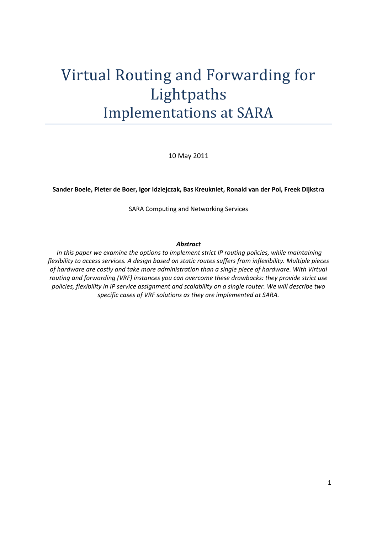# Virtual Routing and Forwarding for Lightpaths Implementations at SARA

10 May 2011

Sander Boele, Pieter de Boer, Igor Idziejczak, Bas Kreukniet, Ronald van der Pol, Freek Dijkstra

SARA Computing and Networking Services

#### *Abstract*

In this paper we examine the options to implement strict IP routing policies, while maintaining *flexibility to access services. A design based on static routes suffers from inflexibility. Multiple pieces* of hardware are costly and take more administration than a single piece of hardware. With Virtual routing and forwarding (VRF) instances you can overcome these drawbacks: they provide strict use policies, flexibility in IP service assignment and scalability on a single router. We will describe two specific cases of VRF solutions as they are implemented at SARA.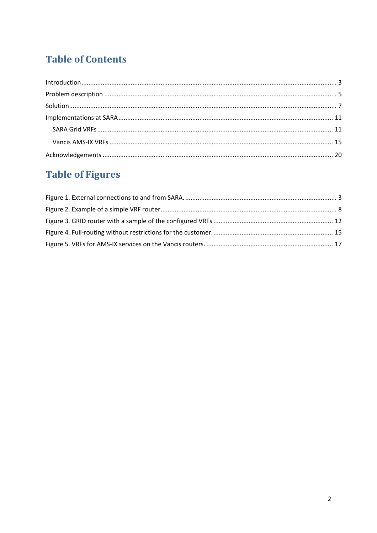## **Table of Contents**

# **Table of Figures**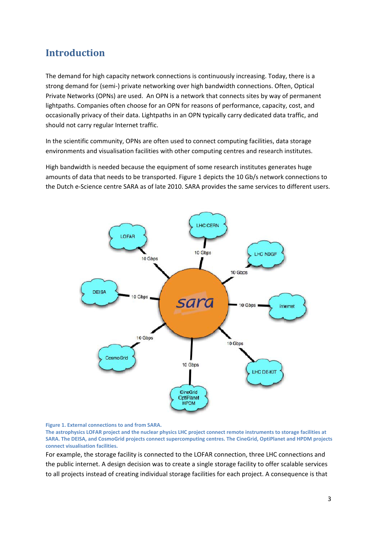#### **Introduction**

The demand for high capacity network connections is continuously increasing. Today, there is a strong demand for (semi-) private networking over high bandwidth connections. Often, Optical Private Networks (OPNs) are used. An OPN is a network that connects sites by way of permanent lightpaths. Companies often choose for an OPN for reasons of performance, capacity, cost, and occasionally privacy of their data. Lightpaths in an OPN typically carry dedicated data traffic, and should not carry regular Internet traffic.

In the scientific community, OPNs are often used to connect computing facilities, data storage environments and visualisation facilities with other computing centres and research institutes.

High bandwidth is needed because the equipment of some research institutes generates huge amounts of data that needs to be transported. Figure 1 depicts the 10 Gb/s network connections to the Dutch e-Science centre SARA as of late 2010. SARA provides the same services to different users.



Figure 1. External connections to and from SARA.

The astrophysics LOFAR project and the nuclear physics LHC project connect remote instruments to storage facilities at SARA. The DEISA, and CosmoGrid projects connect supercomputing centres. The CineGrid, OptiPlanet and HPDM projects **connect'visualisation'facilities.**

For example, the storage facility is connected to the LOFAR connection, three LHC connections and the public internet. A design decision was to create a single storage facility to offer scalable services to all projects instead of creating individual storage facilities for each project. A consequence is that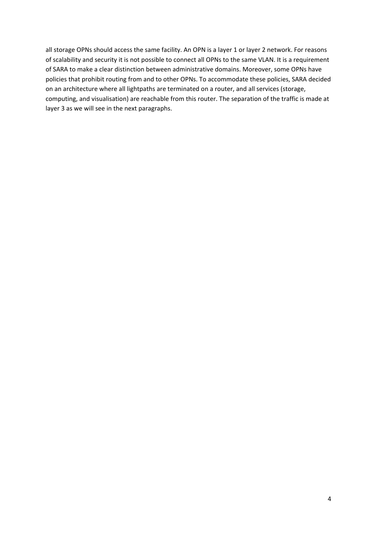all storage OPNs should access the same facility. An OPN is a layer 1 or layer 2 network. For reasons of scalability and security it is not possible to connect all OPNs to the same VLAN. It is a requirement of SARA to make a clear distinction between administrative domains. Moreover, some OPNs have policies that prohibit routing from and to other OPNs. To accommodate these policies, SARA decided on an architecture where all lightpaths are terminated on a router, and all services (storage, computing, and visualisation) are reachable from this router. The separation of the traffic is made at layer 3 as we will see in the next paragraphs.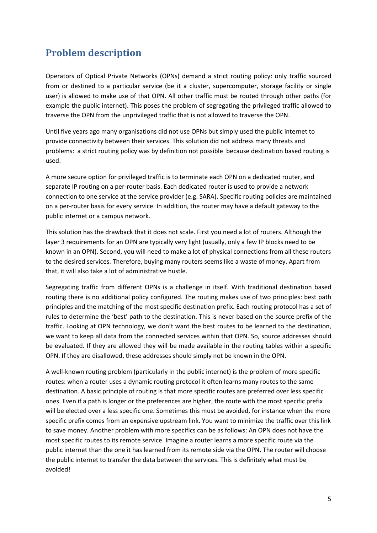### **Problem description**

Operators of Optical Private Networks (OPNs) demand a strict routing policy: only traffic sourced from or destined to a particular service (be it a cluster, supercomputer, storage facility or single user) is allowed to make use of that OPN. All other traffic must be routed through other paths (for example the public internet). This poses the problem of segregating the privileged traffic allowed to traverse the OPN from the unprivileged traffic that is not allowed to traverse the OPN.

Until five years ago many organisations did not use OPNs but simply used the public internet to provide connectivity between their services. This solution did not address many threats and problems: a strict routing policy was by definition not possible because destination based routing is used.

A more secure option for privileged traffic is to terminate each OPN on a dedicated router, and separate IP routing on a per-router basis. Each dedicated router is used to provide a network connection to one service at the service provider (e.g. SARA). Specific routing policies are maintained on a per-router basis for every service. In addition, the router may have a default gateway to the public internet or a campus network.

This solution has the drawback that it does not scale. First you need a lot of routers. Although the layer 3 requirements for an OPN are typically very light (usually, only a few IP blocks need to be known in an OPN). Second, you will need to make a lot of physical connections from all these routers to the desired services. Therefore, buying many routers seems like a waste of money. Apart from that, it will also take a lot of administrative hustle.

Segregating traffic from different OPNs is a challenge in itself. With traditional destination based routing there is no additional policy configured. The routing makes use of two principles: best path principles and the matching of the most specific destination prefix. Each routing protocol has a set of rules to determine the 'best' path to the destination. This is never based on the source prefix of the traffic. Looking at OPN technology, we don't want the best routes to be learned to the destination, we want to keep all data from the connected services within that OPN. So, source addresses should be evaluated. If they are allowed they will be made available in the routing tables within a specific OPN. If they are disallowed, these addresses should simply not be known in the OPN.

A well-known routing problem (particularly in the public internet) is the problem of more specific routes: when a router uses a dynamic routing protocol it often learns many routes to the same destination. A basic principle of routing is that more specific routes are preferred over less specific ones. Even if a path is longer or the preferences are higher, the route with the most specific prefix will be elected over a less specific one. Sometimes this must be avoided, for instance when the more specific prefix comes from an expensive upstream link. You want to minimize the traffic over this link to save money. Another problem with more specifics can be as follows: An OPN does not have the most specific routes to its remote service. Imagine a router learns a more specific route via the public internet than the one it has learned from its remote side via the OPN. The router will choose the public internet to transfer the data between the services. This is definitely what must be avoided!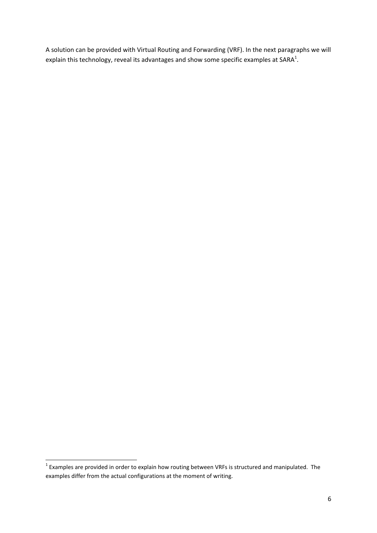A solution can be provided with Virtual Routing and Forwarding (VRF). In the next paragraphs we will explain this technology, reveal its advantages and show some specific examples at SARA<sup>1</sup>.

examples are provided in order to explain how routing between VRFs is structured and manipulated. The 11 Examples are provided in order to explain how routing between VRFs is structured and manipulated. The examples differ from the actual configurations at the moment of writing.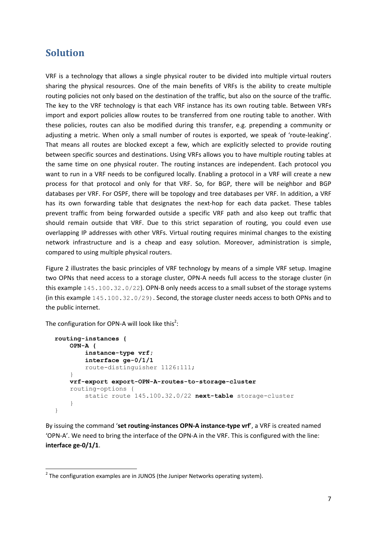#### **Solution**

VRF is a technology that allows a single physical router to be divided into multiple virtual routers sharing the physical resources. One of the main benefits of VRFs is the ability to create multiple routing policies not only based on the destination of the traffic, but also on the source of the traffic. The key to the VRF technology is that each VRF instance has its own routing table. Between VRFs import and export policies allow routes to be transferred from one routing table to another. With these policies, routes can also be modified during this transfer, e.g. prepending a community or adjusting a metric. When only a small number of routes is exported, we speak of 'route-leaking'. That means all routes are blocked except a few, which are explicitly selected to provide routing between specific sources and destinations. Using VRFs allows you to have multiple routing tables at the same time on one physical router. The routing instances are independent. Each protocol you want to run in a VRF needs to be configured locally. Enabling a protocol in a VRF will create a new process for that protocol and only for that VRF. So, for BGP, there will be neighbor and BGP databases per VRF. For OSPF, there will be topology and tree databases per VRF. In addition, a VRF has its own forwarding table that designates the next-hop for each data packet. These tables prevent traffic from being forwarded outside a specific VRF path and also keep out traffic that should remain outside that VRF. Due to this strict separation of routing, you could even use overlapping IP addresses with other VRFs. Virtual routing requires minimal changes to the existing network infrastructure and is a cheap and easy solution. Moreover, administration is simple, compared to using multiple physical routers.

Figure 2 illustrates the basic principles of VRF technology by means of a simple VRF setup. Imagine two OPNs that need access to a storage cluster, OPN-A needs full access to the storage cluster (in this example  $145.100.32.0/22$ ). OPN-B only needs access to a small subset of the storage systems (in this example  $145.100.32.0/29$ ). Second, the storage cluster needs access to both OPNs and to the public internet.

The configuration for OPN-A will look like this<sup>2</sup>:

```
routing-instances {
     OPN-A {
         instance-type vrf;
         interface ge-0/1/1
         route-distinguisher 1126:111;
     }
     vrf-export export-OPN-A-routes-to-storage-cluster
     routing-options {
         static route 145.100.32.0/22 next-table storage-cluster
     }
}
```
By issuing the command 'set routing-instances OPN-A instance-type vrf', a VRF is created named 'OPN-A'. We need to bring the interface of the OPN-A in the VRF. This is configured with the line: interface ge-0/1/1.

<sup>&</sup>lt;u>ness</u><br>If the configuration examples are in JUNOS (the Juniper Networks operating system).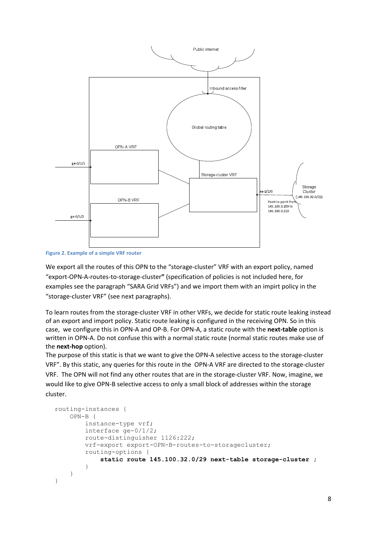

**Figure 2. Example of a simple VRF router** 

We export all the routes of this OPN to the "storage-cluster" VRF with an export policy, named "export-OPN-A-routes-to-storage-cluster" (specification of policies is not included here, for examples see the paragraph "SARA Grid VRFs") and we import them with an impirt policy in the "storage-cluster VRF" (see next paragraphs).

To learn routes from the storage-cluster VRF in other VRFs, we decide for static route leaking instead of an export and import policy. Static route leaking is configured in the receiving OPN. So in this case, we configure this in OPN-A and OP-B. For OPN-A, a static route with the **next-table** option is written in OPN-A. Do not confuse this with a normal static route (normal static routes make use of the **next-hop** option).

The purpose of this static is that we want to give the OPN-A selective access to the storage-cluster VRF". By this static, any queries for this route in the OPN-A VRF are directed to the storage-cluster VRF. The OPN will not find any other routes that are in the storage-cluster VRF. Now, imagine, we would like to give OPN-B selective access to only a small block of addresses within the storage cluster.

```
routing-instances {
     OPN-B {
         instance-type vrf;
         interface ge-0/1/2;
         route-distinguisher 1126:222;
         vrf-export export-OPN-B-routes-to-storagecluster;
         routing-options {
             static route 145.100.32.0/29 next-table storage-cluster ;
 }
     }
}
```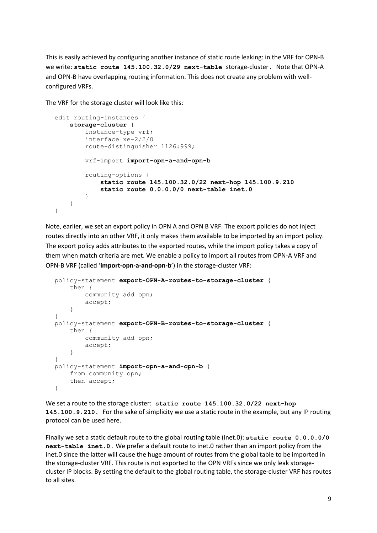This is easily achieved by configuring another instance of static route leaking: in the VRF for OPN-B we write: static route 145.100.32.0/29 next-table storage-cluster. Note that OPN-A and OPN-B have overlapping routing information. This does not create any problem with wellconfigured VRFs.

The VRF for the storage cluster will look like this:

```
edit routing-instances {
     storage-cluster {
         instance-type vrf;
         interface xe-2/2/0
         route-distinguisher 1126:999;
         vrf-import import-opn-a-and-opn-b
         routing-options {
             static route 145.100.32.0/22 next-hop 145.100.9.210
             static route 0.0.0.0/0 next-table inet.0
         }
     }
}
```
Note, earlier, we set an export policy in OPN A and OPN B VRF. The export policies do not inject routes directly into an other VRF, it only makes them available to be imported by an import policy. The export policy adds attributes to the exported routes, while the import policy takes a copy of them when match criteria are met. We enable a policy to import all routes from OPN-A VRF and OPN-B VRF (called 'import-opn-a-and-opn-b') in the storage-cluster VRF:

```
policy-statement export-OPN-A-routes-to-storage-cluster {
     then {
         community add opn;
         accept;
     }
}
policy-statement export-OPN-B-routes-to-storage-cluster {
     then {
         community add opn;
         accept;
     }
}
policy-statement import-opn-a-and-opn-b {
     from community opn;
     then accept;
}
```
We set a route to the storage cluster: static route 145.100.32.0/22 next-hop **145.100.9.210.** For the sake of simplicity we use a static route in the example, but any IP routing protocol can be used here.

Finally we set a static default route to the global routing table (inet.0): static route 0.0.0.0.0/0 **next-table inet.0.** We prefer a default route to inet.0 rather than an import policy from the inet.0 since the latter will cause the huge amount of routes from the global table to be imported in the storage-cluster VRF. This route is not exported to the OPN VRFs since we only leak storagecluster IP blocks. By setting the default to the global routing table, the storage-cluster VRF has routes to all sites.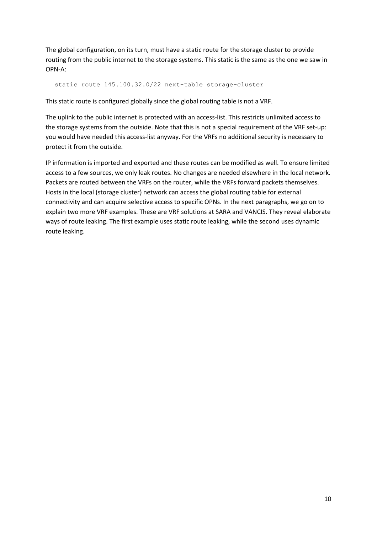The global configuration, on its turn, must have a static route for the storage cluster to provide routing from the public internet to the storage systems. This static is the same as the one we saw in OPN-A:

static route 145.100.32.0/22 next-table storage-cluster

This static route is configured globally since the global routing table is not a VRF.

The uplink to the public internet is protected with an access-list. This restricts unlimited access to the storage systems from the outside. Note that this is not a special requirement of the VRF set-up: you would have needed this access-list anyway. For the VRFs no additional security is necessary to protect it from the outside.

IP information is imported and exported and these routes can be modified as well. To ensure limited access to a few sources, we only leak routes. No changes are needed elsewhere in the local network. Packets are routed between the VRFs on the router, while the VRFs forward packets themselves. Hosts in the local (storage cluster) network can access the global routing table for external connectivity and can acquire selective access to specific OPNs. In the next paragraphs, we go on to explain two more VRF examples. These are VRF solutions at SARA and VANCIS. They reveal elaborate ways of route leaking. The first example uses static route leaking, while the second uses dynamic route leaking.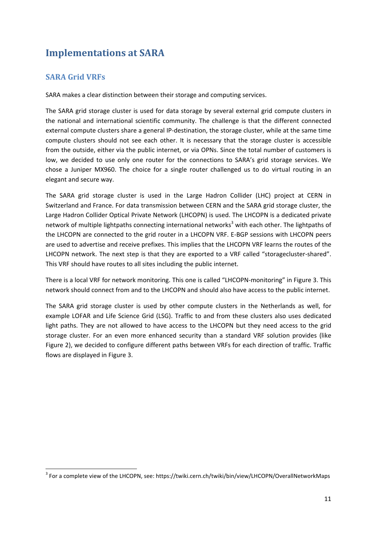### **Implementations at SARA**

#### **SARA Grid VRFs**

SARA makes a clear distinction between their storage and computing services.

The SARA grid storage cluster is used for data storage by several external grid compute clusters in the national and international scientific community. The challenge is that the different connected external compute clusters share a general IP-destination, the storage cluster, while at the same time compute clusters should not see each other. It is necessary that the storage cluster is accessible from the outside, either via the public internet, or via OPNs. Since the total number of customers is low, we decided to use only one router for the connections to SARA's grid storage services. We chose a Juniper MX960. The choice for a single router challenged us to do virtual routing in an elegant and secure way.

The SARA grid storage cluster is used in the Large Hadron Collider (LHC) project at CERN in Switzerland and France. For data transmission between CERN and the SARA grid storage cluster, the Large Hadron Collider Optical Private Network (LHCOPN) is used. The LHCOPN is a dedicated private network of multiple lightpaths connecting international networks<sup>3</sup> with each other. The lightpaths of the LHCOPN are connected to the grid router in a LHCOPN VRF. E-BGP sessions with LHCOPN peers are used to advertise and receive prefixes. This implies that the LHCOPN VRF learns the routes of the LHCOPN network. The next step is that they are exported to a VRF called "storagecluster-shared". This VRF should have routes to all sites including the public internet.

There is a local VRF for network monitoring. This one is called "LHCOPN-monitoring" in Figure 3. This network should connect from and to the LHCOPN and should also have access to the public internet.

The SARA grid storage cluster is used by other compute clusters in the Netherlands as well, for example LOFAR and Life Science Grid (LSG). Traffic to and from these clusters also uses dedicated light paths. They are not allowed to have access to the LHCOPN but they need access to the grid storage cluster. For an even more enhanced security than a standard VRF solution provides (like Figure 2), we decided to configure different paths between VRFs for each direction of traffic. Traffic flows are displayed in Figure 3.

<sup>&</sup>lt;u>.</u><br><sup>3</sup> For a complete view of the LHCOPN, see: https://twiki.cern.ch/twiki/bin/view/LHCOPN/OverallNetworkMaps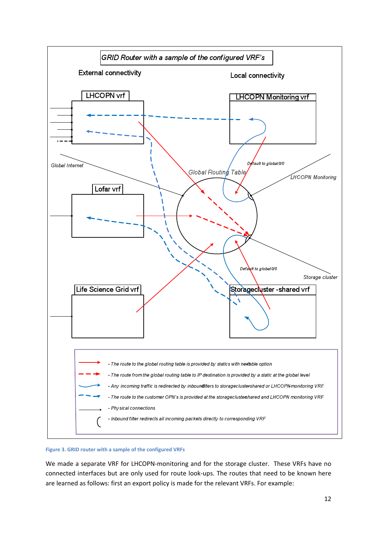

#### Figure 3. GRID router with a sample of the configured VRFs

We made a separate VRF for LHCOPN-monitoring and for the storage cluster. These VRFs have no connected interfaces but are only used for route look-ups. The routes that need to be known here are learned as follows: first an export policy is made for the relevant VRFs. For example: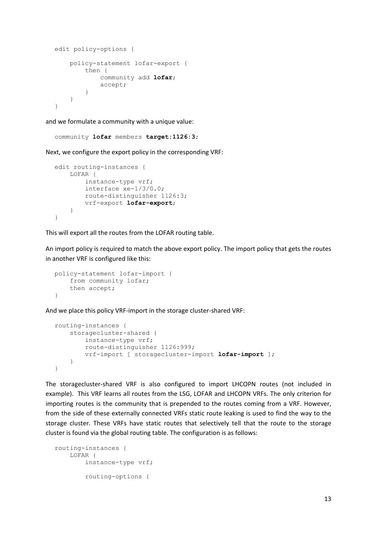```
edit policy-options {
     policy-statement lofar-export {
          then {
              community add lofar;
              accept;
          }
     }
}
```
and we formulate a community with a unique value:

community **lofar** members **target:1126:3**;

Next, we configure the export policy in the corresponding VRF:

```
edit routing-instances {
     LOFAR {
         instance-type vrf;
         interface xe-1/3/0.0;
         route-distinguisher 1126:3;
         vrf-export lofar-export;
     }
}
```
This will export all the routes from the LOFAR routing table.

An import policy is required to match the above export policy. The import policy that gets the routes in another VRF is configured like this:

```
policy-statement lofar-import {
     from community lofar;
     then accept;
}
```
And we place this policy VRF-import in the storage cluster-shared VRF:

```
routing-instances {
     storagecluster-shared {
         instance-type vrf;
         route-distinguisher 1126:999;
         vrf-import [ storagecluster-import lofar-import ];
     }
}
```
The storagecluster-shared VRF is also configured to import LHCOPN routes (not included in example). This VRF learns all routes from the LSG, LOFAR and LHCOPN VRFs. The only criterion for importing routes is the community that is prepended to the routes coming from a VRF. However, from the side of these externally connected VRFs static route leaking is used to find the way to the storage cluster. These VRFs have static routes that selectively tell that the route to the storage cluster is found via the global routing table. The configuration is as follows:

```
routing-instances {
     LOFAR {
         instance-type vrf;
         routing-options {
```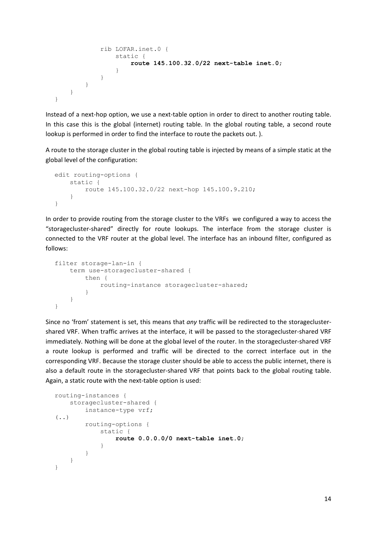```
 rib LOFAR.inet.0 {
              static {
                 route 145.100.32.0/22 next-table inet.0;
 }
 }
       }
   }
}
```
Instead of a next-hop option, we use a next-table option in order to direct to another routing table. In this case this is the global (internet) routing table. In the global routing table, a second route lookup is performed in order to find the interface to route the packets out. ).

A route to the storage cluster in the global routing table is injected by means of a simple static at the global level of the configuration:

```
edit routing-options {
     static {
         route 145.100.32.0/22 next-hop 145.100.9.210;
     }
}
```
In order to provide routing from the storage cluster to the VRFs we configured a way to access the "storagecluster-shared" directly for route lookups. The interface from the storage cluster is connected to the VRF router at the global level. The interface has an inbound filter, configured as follows:

```
filter storage-lan-in {
    term use-storagecluster-shared {
        then {
            routing-instance storagecluster-shared;
 }
     }
}
```
Since no 'from' statement is set, this means that *any* traffic will be redirected to the storageclustershared VRF. When traffic arrives at the interface, it will be passed to the storagecluster-shared VRF immediately. Nothing will be done at the global level of the router. In the storagecluster-shared VRF a route lookup is performed and traffic will be directed to the correct interface out in the corresponding VRF. Because the storage cluster should be able to access the public internet, there is also a default route in the storagecluster-shared VRF that points back to the global routing table. Again, a static route with the next-table option is used:

```
routing-instances {
     storagecluster-shared {
         instance-type vrf;
(\cdot,\cdot) routing-options {
              static {
                  route 0.0.0.0/0 next-table inet.0;
 }
         }
     }
}
```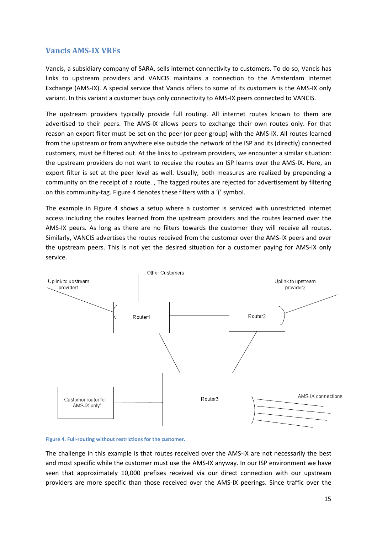#### **Vancis&AMS>IX&VRFs**

Vancis, a subsidiary company of SARA, sells internet connectivity to customers. To do so, Vancis has links to upstream providers and VANCIS maintains a connection to the Amsterdam Internet Exchange (AMS-IX). A special service that Vancis offers to some of its customers is the AMS-IX only variant. In this variant a customer buys only connectivity to AMS-IX peers connected to VANCIS.

The upstream providers typically provide full routing. All internet routes known to them are advertised to their peers. The AMS-IX allows peers to exchange their own routes only. For that reason an export filter must be set on the peer (or peer group) with the AMS-IX. All routes learned from the upstream or from anywhere else outside the network of the ISP and its (directly) connected customers, must be filtered out. At the links to upstream providers, we encounter a similar situation: the upstream providers do not want to receive the routes an ISP learns over the AMS-IX. Here, an export filter is set at the peer level as well. Usually, both measures are realized by prepending a community on the receipt of a route. , The tagged routes are rejected for advertisement by filtering on this community-tag. Figure 4 denotes these filters with a '(' symbol.

The example in Figure 4 shows a setup where a customer is serviced with unrestricted internet access including the routes learned from the upstream providers and the routes learned over the AMS-IX peers. As long as there are no filters towards the customer they will receive all routes. Similarly, VANCIS advertises the routes received from the customer over the AMS-IX peers and over the upstream peers. This is not yet the desired situation for a customer paying for AMS-IX only service.



#### Figure 4. Full-routing without restrictions for the customer.

The challenge in this example is that routes received over the AMS-IX are not necessarily the best and most specific while the customer must use the AMS-IX anyway. In our ISP environment we have seen that approximately 10,000 prefixes received via our direct connection with our upstream providers are more specific than those received over the AMS-IX peerings. Since traffic over the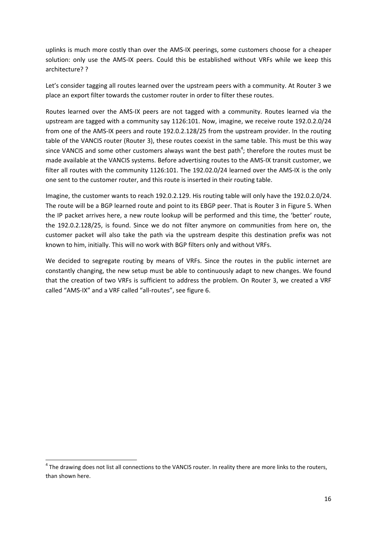uplinks is much more costly than over the AMS-IX peerings, some customers choose for a cheaper solution: only use the AMS-IX peers. Could this be established without VRFs while we keep this architecture? ?

Let's consider tagging all routes learned over the upstream peers with a community. At Router 3 we place an export filter towards the customer router in order to filter these routes.

Routes learned over the AMS-IX peers are not tagged with a community. Routes learned via the upstream are tagged with a community say 1126:101. Now, imagine, we receive route 192.0.2.0/24 from one of the AMS-IX peers and route 192.0.2.128/25 from the upstream provider. In the routing table of the VANCIS router (Router 3), these routes coexist in the same table. This must be this way since VANCIS and some other customers always want the best path<sup>4</sup>; therefore the routes must be made available at the VANCIS systems. Before advertising routes to the AMS-IX transit customer, we filter all routes with the community 1126:101. The 192.02.0/24 learned over the AMS-IX is the only one sent to the customer router, and this route is inserted in their routing table.

Imagine, the customer wants to reach 192.0.2.129. His routing table will only have the 192.0.2.0/24. The route will be a BGP learned route and point to its EBGP peer. That is Router 3 in Figure 5. When the IP packet arrives here, a new route lookup will be performed and this time, the 'better' route, the 192.0.2.128/25, is found. Since we do not filter anymore on communities from here on, the customer packet will also take the path via the upstream despite this destination prefix was not known to him, initially. This will no work with BGP filters only and without VRFs.

We decided to segregate routing by means of VRFs. Since the routes in the public internet are constantly changing, the new setup must be able to continuously adapt to new changes. We found that the creation of two VRFs is sufficient to address the problem. On Router 3, we created a VRF called "AMS-IX" and a VRF called "all-routes", see figure 6.

<sup>&</sup>lt;sup>4</sup> The drawing does not list all connections to the VANCIS router. In reality there are more links to the routers, than shown here.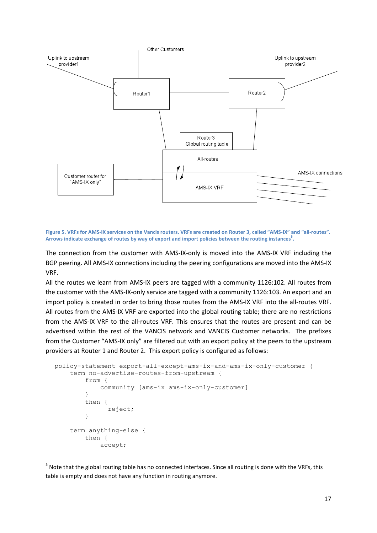

Figure 5. VRFs for AMS-IX services on the Vancis routers. VRFs are created on Router 3, called "AMS-IX" and "all-routes". Arrows indicate exchange of routes by way of export and import policies between the routing instances<sup>5</sup>.

The connection from the customer with AMS-IX-only is moved into the AMS-IX VRF including the BGP peering. All AMS-IX connections including the peering configurations are moved into the AMS-IX VRF.

All the routes we learn from AMS-IX peers are tagged with a community 1126:102. All routes from the customer with the AMS-IX-only service are tagged with a community 1126:103. An export and an import policy is created in order to bring those routes from the AMS-IX VRF into the all-routes VRF. All routes from the AMS-IX VRF are exported into the global routing table; there are no restrictions from the AMS-IX VRF to the all-routes VRF. This ensures that the routes are present and can be advertised within the rest of the VANCIS network and VANCIS Customer networks. The prefixes from the Customer "AMS-IX only" are filtered out with an export policy at the peers to the upstream providers at Router 1 and Router 2. This export policy is configured as follows:

```
policy-statement export-all-except-ams-ix-and-ams-ix-only-customer {
     term no-advertise-routes-from-upstream {
         from {
             community [ams-ix ams-ix-only-customer]
 }
         then {
               reject;
 }
     term anything-else {
         then {
             accept;
```
 $5$  Note that the global routing table has no connected interfaces. Since all routing is done with the VRFs, this table is empty and does not have any function in routing anymore.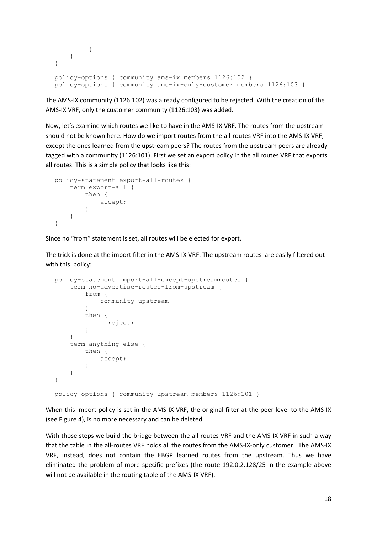```
 }
    }
}
policy-options { community ams-ix members 1126:102 }
policy-options { community ams-ix-only-customer members 1126:103 }
```
The AMS-IX community (1126:102) was already configured to be rejected. With the creation of the AMS-IX VRF, only the customer community (1126:103) was added.

Now, let's examine which routes we like to have in the AMS-IX VRF. The routes from the upstream should not be known here. How do we import routes from the all-routes VRF into the AMS-IX VRF, except the ones learned from the upstream peers? The routes from the upstream peers are already tagged with a community (1126:101). First we set an export policy in the all routes VRF that exports all routes. This is a simple policy that looks like this:

```
policy-statement export-all-routes {
     term export-all {
         then {
             accept;
 }
     }
}
```
Since no "from" statement is set, all routes will be elected for export.

The trick is done at the import filter in the AMS-IX VRF. The upstream routes are easily filtered out with this policy:

```
policy-statement import-all-except-upstreamroutes {
     term no-advertise-routes-from-upstream {
         from {
             community upstream
         }
         then {
               reject;
 }
     }
     term anything-else {
         then {
             accept;
 }
     }
}
policy-options { community upstream members 1126:101 }
```
When this import policy is set in the AMS-IX VRF, the original filter at the peer level to the AMS-IX (see Figure 4), is no more necessary and can be deleted.

With those steps we build the bridge between the all-routes VRF and the AMS-IX VRF in such a way that the table in the all-routes VRF holds all the routes from the AMS-IX-only customer. The AMS-IX VRF, instead, does not contain the EBGP learned routes from the upstream. Thus we have eliminated the problem of more specific prefixes (the route 192.0.2.128/25 in the example above will not be available in the routing table of the AMS-IX VRF).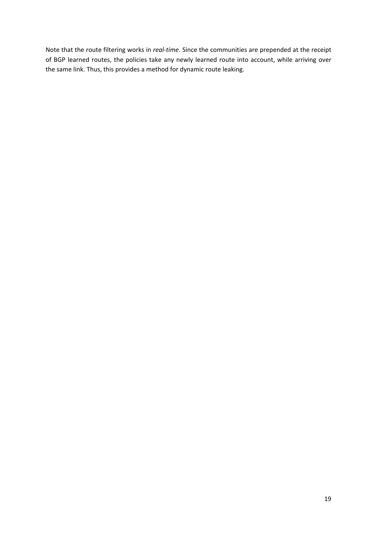Note that the route filtering works in *real-time*. Since the communities are prepended at the receipt of BGP learned routes, the policies take any newly learned route into account, while arriving over the same link. Thus, this provides a method for dynamic route leaking.